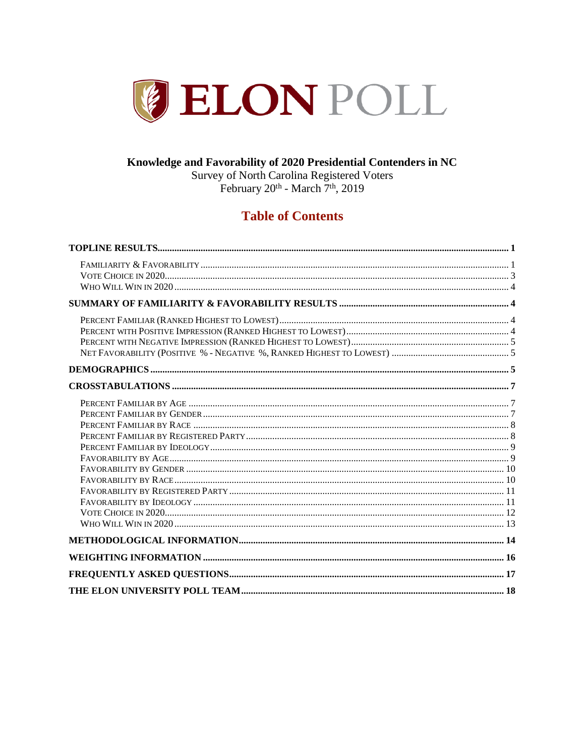

### Knowledge and Favorability of 2020 Presidential Contenders in NC

Survey of North Carolina Registered Voters<br>February 20<sup>th</sup> - March 7<sup>th</sup>, 2019

## **Table of Contents**

<span id="page-0-0"></span>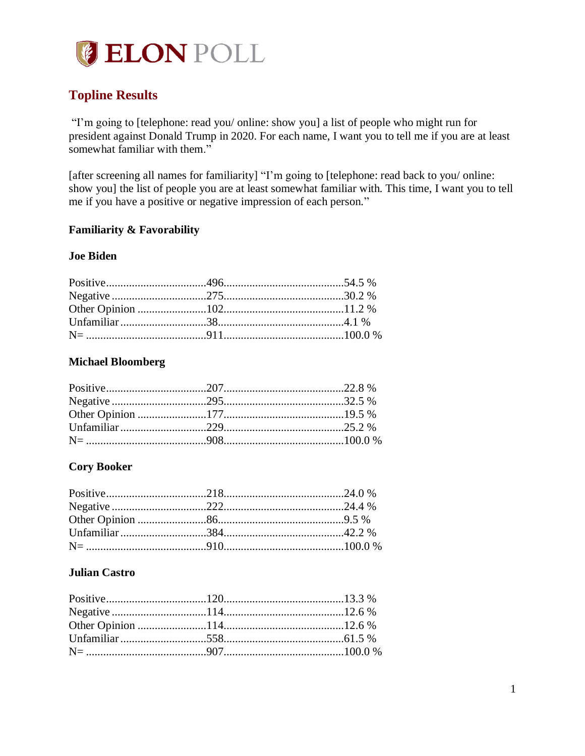

## **Topline Results**

"I'm going to [telephone: read you/ online: show you] a list of people who might run for president against Donald Trump in 2020. For each name, I want you to tell me if you are at least somewhat familiar with them."

[after screening all names for familiarity] "I'm going to [telephone: read back to you/ online: show you] the list of people you are at least somewhat familiar with. This time, I want you to tell me if you have a positive or negative impression of each person."

### <span id="page-1-0"></span>**Familiarity & Favorability**

### **Joe Biden**

### **Michael Bloomberg**

### **Cory Booker**

### **Julian Castro**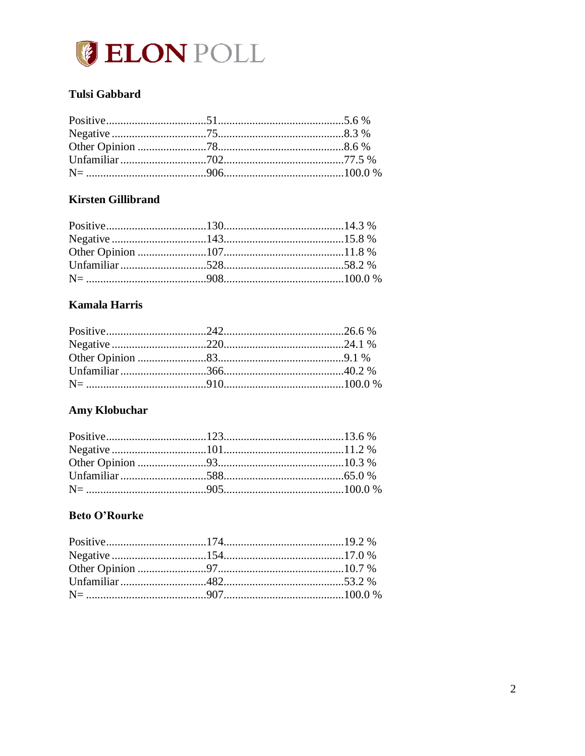

### Tulsi Gabbard

### **Kirsten Gillibrand**

### **Kamala Harris**

### **Amy Klobuchar**

## **Beto O'Rourke**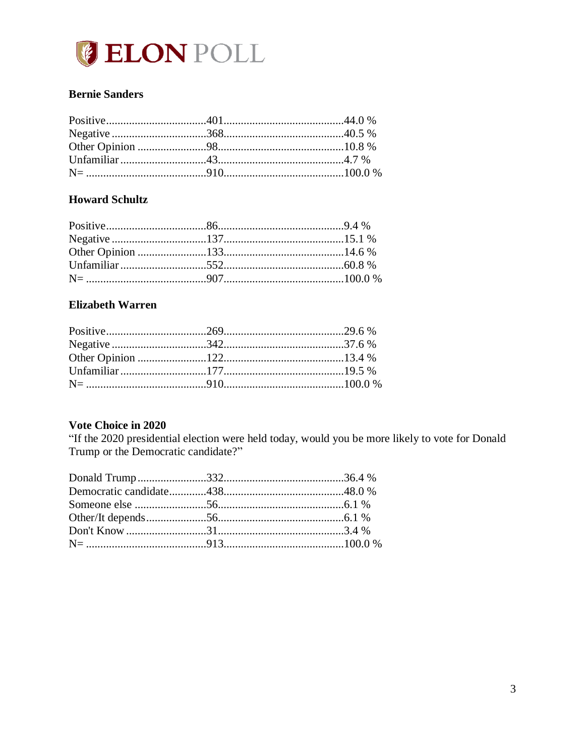

### **Bernie Sanders**

### **Howard Schultz**

### **Elizabeth Warren**

### <span id="page-3-0"></span>Vote Choice in 2020

"If the 2020 presidential election were held today, would you be more likely to vote for Donald<br>Trump or the Democratic candidate?"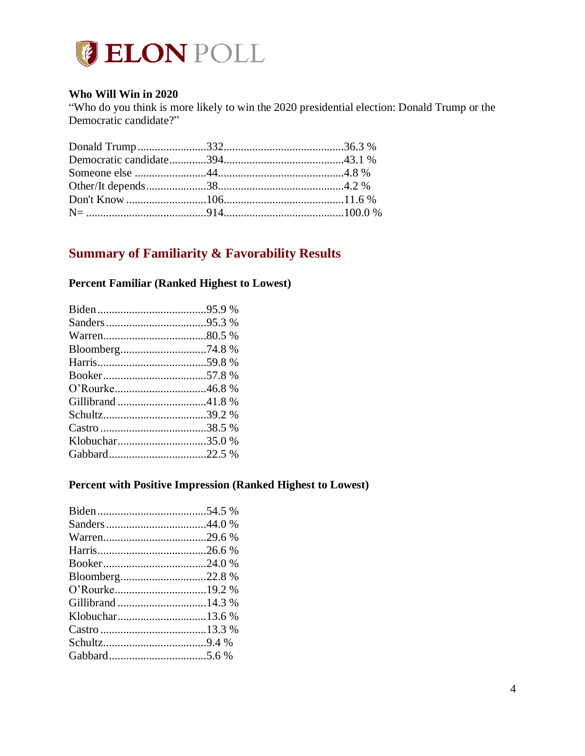

### <span id="page-4-0"></span>**Who Will Win in 2020**

"Who do you think is more likely to win the 2020 presidential election: Donald Trump or the Democratic candidate?"

## <span id="page-4-1"></span>**Summary of Familiarity & Favorability Results**

### <span id="page-4-2"></span>**Percent Familiar (Ranked Highest to Lowest)**

| Bloomberg74.8 % |
|-----------------|
|                 |
|                 |
|                 |
|                 |
|                 |
|                 |
| Klobuchar35.0 % |
|                 |
|                 |

### <span id="page-4-3"></span>**Percent with Positive Impression (Ranked Highest to Lowest)**

| Bloomberg22.8 % |  |
|-----------------|--|
|                 |  |
|                 |  |
|                 |  |
|                 |  |
|                 |  |
|                 |  |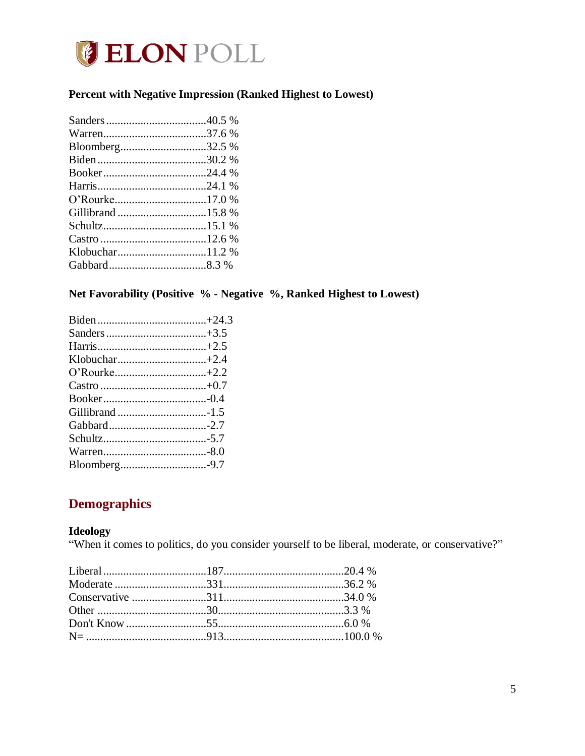

### <span id="page-5-0"></span>Percent with Negative Impression (Ranked Highest to Lowest)

| Bloomberg32.5 % |  |
|-----------------|--|
|                 |  |
|                 |  |
|                 |  |
|                 |  |
|                 |  |
|                 |  |
|                 |  |
|                 |  |
|                 |  |
|                 |  |

### <span id="page-5-1"></span>Net Favorability (Positive % - Negative %, Ranked Highest to Lowest)

## <span id="page-5-2"></span>**Demographics**

### **Ideology**

"When it comes to politics, do you consider yourself to be liberal, moderate, or conservative?"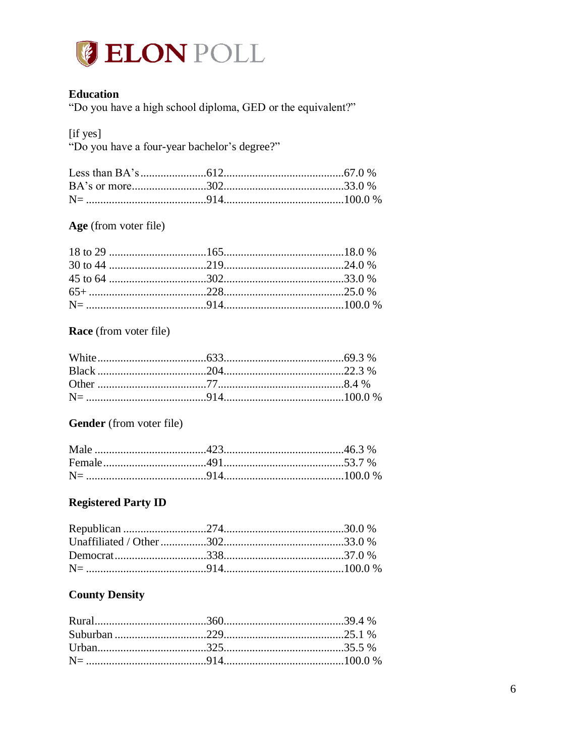

### **Education**

"Do you have a high school diploma, GED or the equivalent?"

[if yes]

"Do you have a four-year bachelor's degree?"

### Age (from voter file)

### **Race** (from voter file)

### Gender (from voter file)

### **Registered Party ID**

### **County Density**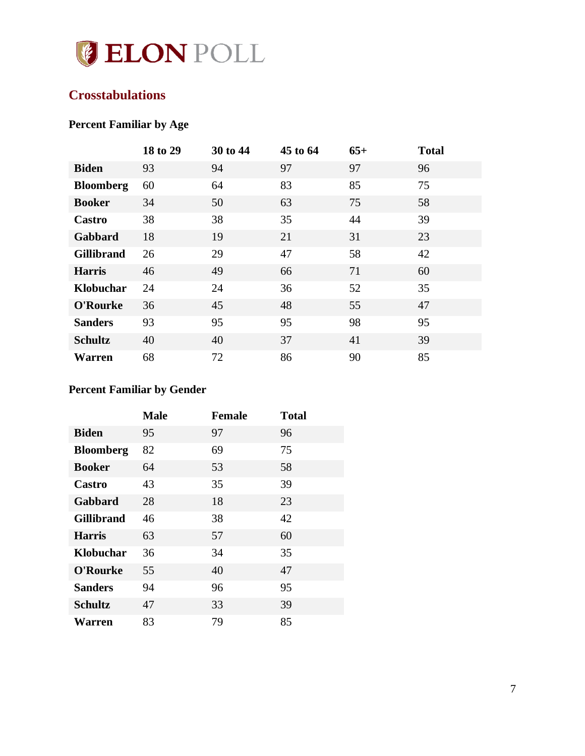

## <span id="page-7-0"></span>**Crosstabulations**

# <span id="page-7-1"></span>**Percent Familiar by Age**

|                   | 18 to 29 | 30 to 44 | 45 to 64 | $65+$ | <b>Total</b> |
|-------------------|----------|----------|----------|-------|--------------|
| <b>Biden</b>      | 93       | 94       | 97       | 97    | 96           |
| <b>Bloomberg</b>  | 60       | 64       | 83       | 85    | 75           |
| <b>Booker</b>     | 34       | 50       | 63       | 75    | 58           |
| Castro            | 38       | 38       | 35       | 44    | 39           |
| Gabbard           | 18       | 19       | 21       | 31    | 23           |
| <b>Gillibrand</b> | 26       | 29       | 47       | 58    | 42           |
| <b>Harris</b>     | 46       | 49       | 66       | 71    | 60           |
| Klobuchar         | 24       | 24       | 36       | 52    | 35           |
| O'Rourke          | 36       | 45       | 48       | 55    | 47           |
| <b>Sanders</b>    | 93       | 95       | 95       | 98    | 95           |
| <b>Schultz</b>    | 40       | 40       | 37       | 41    | 39           |
| <b>Warren</b>     | 68       | 72       | 86       | 90    | 85           |

## <span id="page-7-2"></span>**Percent Familiar by Gender**

|                   | <b>Male</b> | <b>Female</b> | <b>Total</b> |
|-------------------|-------------|---------------|--------------|
| <b>Biden</b>      | 95          | 97            | 96           |
| <b>Bloomberg</b>  | 82          | 69            | 75           |
| <b>Booker</b>     | 64          | 53            | 58           |
| Castro            | 43          | 35            | 39           |
| Gabbard           | 28          | 18            | 23           |
| <b>Gillibrand</b> | 46          | 38            | 42           |
| <b>Harris</b>     | 63          | 57            | 60           |
| Klobuchar         | 36          | 34            | 35           |
| O'Rourke          | 55          | 40            | 47           |
| <b>Sanders</b>    | 94          | 96            | 95           |
| <b>Schultz</b>    | 47          | 33            | 39           |
| Warren            | 83          | 79            | 85           |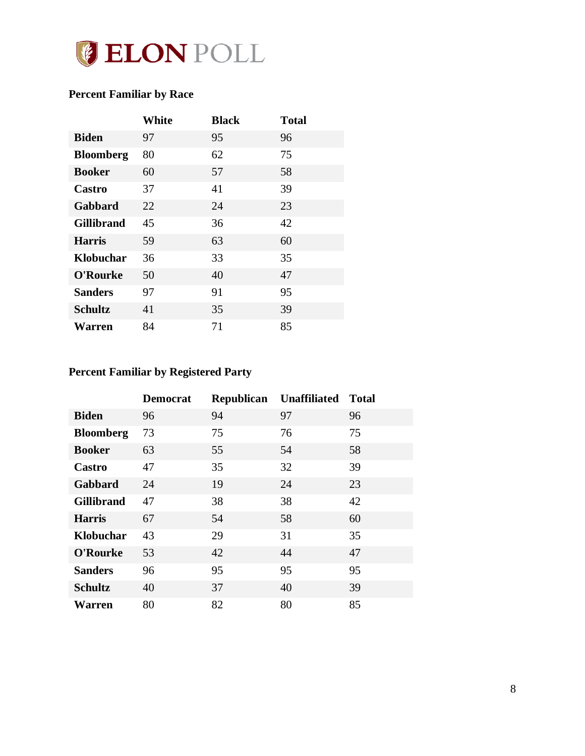

## <span id="page-8-0"></span>**Percent Familiar by Race**

|                   | White | <b>Black</b> | <b>Total</b> |
|-------------------|-------|--------------|--------------|
| <b>Biden</b>      | 97    | 95           | 96           |
| <b>Bloomberg</b>  | 80    | 62           | 75           |
| <b>Booker</b>     | 60    | 57           | 58           |
| Castro            | 37    | 41           | 39           |
| Gabbard           | 22    | 24           | 23           |
| <b>Gillibrand</b> | 45    | 36           | 42           |
| <b>Harris</b>     | 59    | 63           | 60           |
| Klobuchar         | 36    | 33           | 35           |
| O'Rourke          | 50    | 40           | 47           |
| <b>Sanders</b>    | 97    | 91           | 95           |
| <b>Schultz</b>    | 41    | 35           | 39           |
| Warren            | 84    | 71           | 85           |

## <span id="page-8-1"></span>**Percent Familiar by Registered Party**

|                   | <b>Democrat</b> | Republican | <b>Unaffiliated</b> | <b>Total</b> |
|-------------------|-----------------|------------|---------------------|--------------|
| <b>Biden</b>      | 96              | 94         | 97                  | 96           |
| <b>Bloomberg</b>  | 73              | 75         | 76                  | 75           |
| <b>Booker</b>     | 63              | 55         | 54                  | 58           |
| Castro            | 47              | 35         | 32                  | 39           |
| Gabbard           | 24              | 19         | 24                  | 23           |
| <b>Gillibrand</b> | 47              | 38         | 38                  | 42           |
| <b>Harris</b>     | 67              | 54         | 58                  | 60           |
| Klobuchar         | 43              | 29         | 31                  | 35           |
| O'Rourke          | 53              | 42         | 44                  | 47           |
| <b>Sanders</b>    | 96              | 95         | 95                  | 95           |
| <b>Schultz</b>    | 40              | 37         | 40                  | 39           |
| <b>Warren</b>     | 80              | 82         | 80                  | 85           |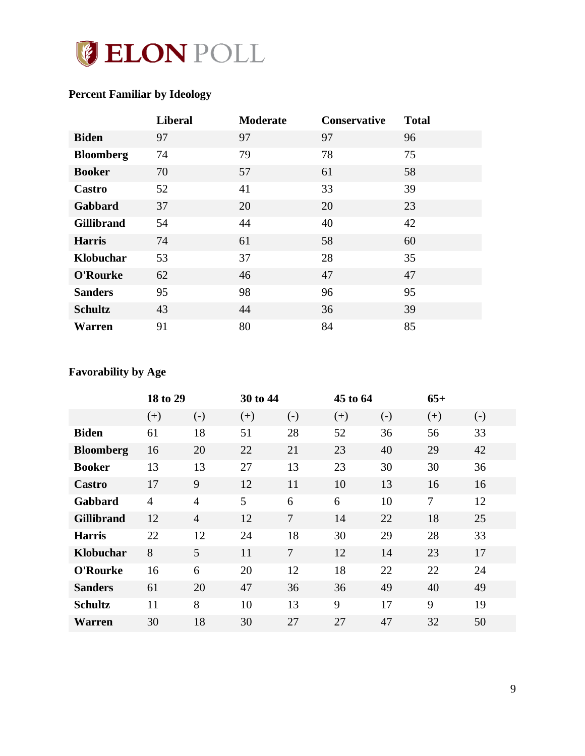

## <span id="page-9-0"></span>**Percent Familiar by Ideology**

|                   | <b>Liberal</b> | <b>Moderate</b> | <b>Conservative</b> | <b>Total</b> |
|-------------------|----------------|-----------------|---------------------|--------------|
| <b>Biden</b>      | 97             | 97              | 97                  | 96           |
| <b>Bloomberg</b>  | 74             | 79              | 78                  | 75           |
| <b>Booker</b>     | 70             | 57              | 61                  | 58           |
| Castro            | 52             | 41              | 33                  | 39           |
| Gabbard           | 37             | 20              | 20                  | 23           |
| <b>Gillibrand</b> | 54             | 44              | 40                  | 42           |
| <b>Harris</b>     | 74             | 61              | 58                  | 60           |
| Klobuchar         | 53             | 37              | 28                  | 35           |
| O'Rourke          | 62             | 46              | 47                  | 47           |
| <b>Sanders</b>    | 95             | 98              | 96                  | 95           |
| <b>Schultz</b>    | 43             | 44              | 36                  | 39           |
| Warren            | 91             | 80              | 84                  | 85           |

## <span id="page-9-1"></span>**Favorability by Age**

|                   | 18 to 29       |                | 30 to 44 |                |       | 45 to 64          |       |       |
|-------------------|----------------|----------------|----------|----------------|-------|-------------------|-------|-------|
|                   | $(+)$          | $(-)$          | $(+)$    | $(-)$          | $(+)$ | $\left( -\right)$ | $(+)$ | $(-)$ |
| <b>Biden</b>      | 61             | 18             | 51       | 28             | 52    | 36                | 56    | 33    |
| <b>Bloomberg</b>  | 16             | 20             | 22       | 21             | 23    | 40                | 29    | 42    |
| <b>Booker</b>     | 13             | 13             | 27       | 13             | 23    | 30                | 30    | 36    |
| Castro            | 17             | 9              | 12       | 11             | 10    | 13                | 16    | 16    |
| Gabbard           | $\overline{4}$ | $\overline{4}$ | 5        | 6              | 6     | 10                | 7     | 12    |
| <b>Gillibrand</b> | 12             | $\overline{4}$ | 12       | $\tau$         | 14    | 22                | 18    | 25    |
| <b>Harris</b>     | 22             | 12             | 24       | 18             | 30    | 29                | 28    | 33    |
| Klobuchar         | 8              | 5              | 11       | $\overline{7}$ | 12    | 14                | 23    | 17    |
| O'Rourke          | 16             | 6              | 20       | 12             | 18    | 22                | 22    | 24    |
| <b>Sanders</b>    | 61             | 20             | 47       | 36             | 36    | 49                | 40    | 49    |
| <b>Schultz</b>    | 11             | 8              | 10       | 13             | 9     | 17                | 9     | 19    |
| <b>Warren</b>     | 30             | 18             | 30       | 27             | 27    | 47                | 32    | 50    |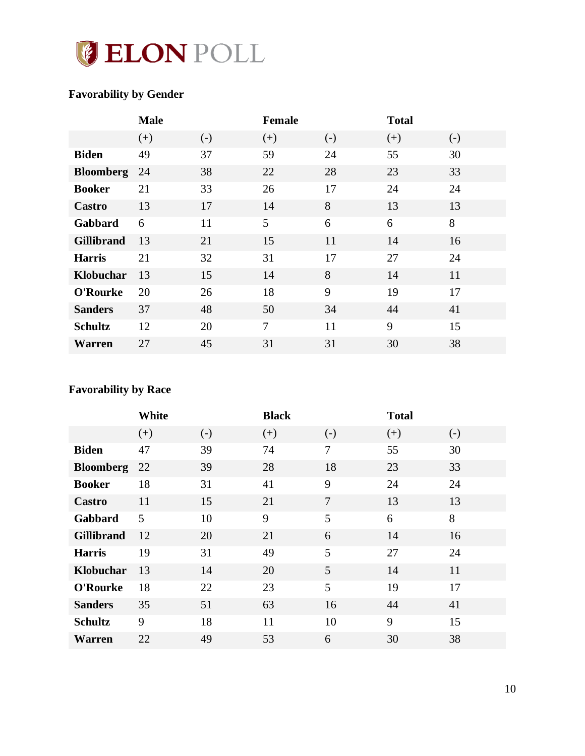

## <span id="page-10-0"></span>**Favorability by Gender**

|                   | <b>Male</b> |       | <b>Female</b>  |                   | <b>Total</b> |       |
|-------------------|-------------|-------|----------------|-------------------|--------------|-------|
|                   | $(+)$       | $(-)$ | $(+)$          | $\left( -\right)$ | $(+)$        | $(-)$ |
| <b>Biden</b>      | 49          | 37    | 59             | 24                | 55           | 30    |
| <b>Bloomberg</b>  | 24          | 38    | 22             | 28                | 23           | 33    |
| <b>Booker</b>     | 21          | 33    | 26             | 17                | 24           | 24    |
| Castro            | 13          | 17    | 14             | 8                 | 13           | 13    |
| Gabbard           | 6           | 11    | 5              | 6                 | 6            | 8     |
| <b>Gillibrand</b> | 13          | 21    | 15             | 11                | 14           | 16    |
| <b>Harris</b>     | 21          | 32    | 31             | 17                | 27           | 24    |
| Klobuchar         | 13          | 15    | 14             | 8                 | 14           | 11    |
| O'Rourke          | 20          | 26    | 18             | 9                 | 19           | 17    |
| <b>Sanders</b>    | 37          | 48    | 50             | 34                | 44           | 41    |
| <b>Schultz</b>    | 12          | 20    | $\overline{7}$ | 11                | 9            | 15    |
| <b>Warren</b>     | 27          | 45    | 31             | 31                | 30           | 38    |

## <span id="page-10-1"></span>**Favorability by Race**

|                   | White |       | <b>Black</b> |                   | <b>Total</b> |                   |
|-------------------|-------|-------|--------------|-------------------|--------------|-------------------|
|                   | $(+)$ | $(-)$ | $(+)$        | $\left( -\right)$ | $(+)$        | $\left( -\right)$ |
| <b>Biden</b>      | 47    | 39    | 74           | 7                 | 55           | 30                |
| <b>Bloomberg</b>  | 22    | 39    | 28           | 18                | 23           | 33                |
| <b>Booker</b>     | 18    | 31    | 41           | 9                 | 24           | 24                |
| Castro            | 11    | 15    | 21           | 7                 | 13           | 13                |
| Gabbard           | 5     | 10    | 9            | 5                 | 6            | 8                 |
| <b>Gillibrand</b> | 12    | 20    | 21           | 6                 | 14           | 16                |
| <b>Harris</b>     | 19    | 31    | 49           | 5                 | 27           | 24                |
| Klobuchar         | 13    | 14    | 20           | 5                 | 14           | 11                |
| O'Rourke          | 18    | 22    | 23           | 5                 | 19           | 17                |
| <b>Sanders</b>    | 35    | 51    | 63           | 16                | 44           | 41                |
| <b>Schultz</b>    | 9     | 18    | 11           | 10                | 9            | 15                |
| <b>Warren</b>     | 22    | 49    | 53           | 6                 | 30           | 38                |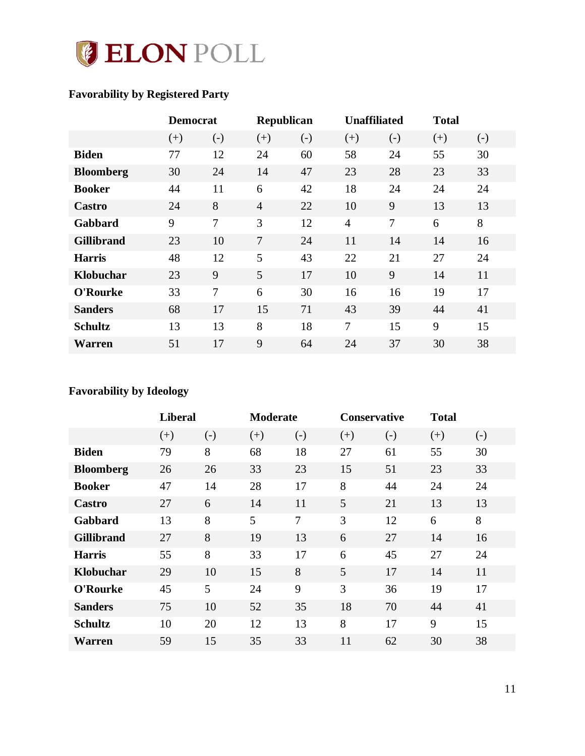

## <span id="page-11-0"></span>**Favorability by Registered Party**

|                   | <b>Democrat</b> |       | Republican     |                   | <b>Unaffiliated</b> |                | <b>Total</b> |                   |
|-------------------|-----------------|-------|----------------|-------------------|---------------------|----------------|--------------|-------------------|
|                   | $(+)$           | $(-)$ | $(+)$          | $\left( -\right)$ | $(+)$               | $(-)$          | $(+)$        | $\left( -\right)$ |
| <b>Biden</b>      | 77              | 12    | 24             | 60                | 58                  | 24             | 55           | 30                |
| <b>Bloomberg</b>  | 30              | 24    | 14             | 47                | 23                  | 28             | 23           | 33                |
| <b>Booker</b>     | 44              | 11    | 6              | 42                | 18                  | 24             | 24           | 24                |
| Castro            | 24              | 8     | $\overline{4}$ | 22                | 10                  | 9              | 13           | 13                |
| Gabbard           | 9               | 7     | 3              | 12                | $\overline{4}$      | $\overline{7}$ | 6            | 8                 |
| <b>Gillibrand</b> | 23              | 10    | $\overline{7}$ | 24                | 11                  | 14             | 14           | 16                |
| <b>Harris</b>     | 48              | 12    | 5              | 43                | 22                  | 21             | 27           | 24                |
| Klobuchar         | 23              | 9     | 5              | 17                | 10                  | 9              | 14           | 11                |
| O'Rourke          | 33              | 7     | 6              | 30                | 16                  | 16             | 19           | 17                |
| <b>Sanders</b>    | 68              | 17    | 15             | 71                | 43                  | 39             | 44           | 41                |
| <b>Schultz</b>    | 13              | 13    | 8              | 18                | 7                   | 15             | 9            | 15                |
| Warren            | 51              | 17    | 9              | 64                | 24                  | 37             | 30           | 38                |

## <span id="page-11-1"></span>**Favorability by Ideology**

|                   | <b>Liberal</b> |       |       | <b>Moderate</b>   |       | <b>Conservative</b> |       |       |
|-------------------|----------------|-------|-------|-------------------|-------|---------------------|-------|-------|
|                   | $(+)$          | $(-)$ | $(+)$ | $\left( -\right)$ | $(+)$ | $(-)$               | $(+)$ | $(-)$ |
| <b>Biden</b>      | 79             | 8     | 68    | 18                | 27    | 61                  | 55    | 30    |
| <b>Bloomberg</b>  | 26             | 26    | 33    | 23                | 15    | 51                  | 23    | 33    |
| <b>Booker</b>     | 47             | 14    | 28    | 17                | 8     | 44                  | 24    | 24    |
| Castro            | 27             | 6     | 14    | 11                | 5     | 21                  | 13    | 13    |
| Gabbard           | 13             | 8     | 5     | 7                 | 3     | 12                  | 6     | 8     |
| <b>Gillibrand</b> | 27             | 8     | 19    | 13                | 6     | 27                  | 14    | 16    |
| <b>Harris</b>     | 55             | 8     | 33    | 17                | 6     | 45                  | 27    | 24    |
| Klobuchar         | 29             | 10    | 15    | 8                 | 5     | 17                  | 14    | 11    |
| O'Rourke          | 45             | 5     | 24    | 9                 | 3     | 36                  | 19    | 17    |
| <b>Sanders</b>    | 75             | 10    | 52    | 35                | 18    | 70                  | 44    | 41    |
| <b>Schultz</b>    | 10             | 20    | 12    | 13                | 8     | 17                  | 9     | 15    |
| Warren            | 59             | 15    | 35    | 33                | 11    | 62                  | 30    | 38    |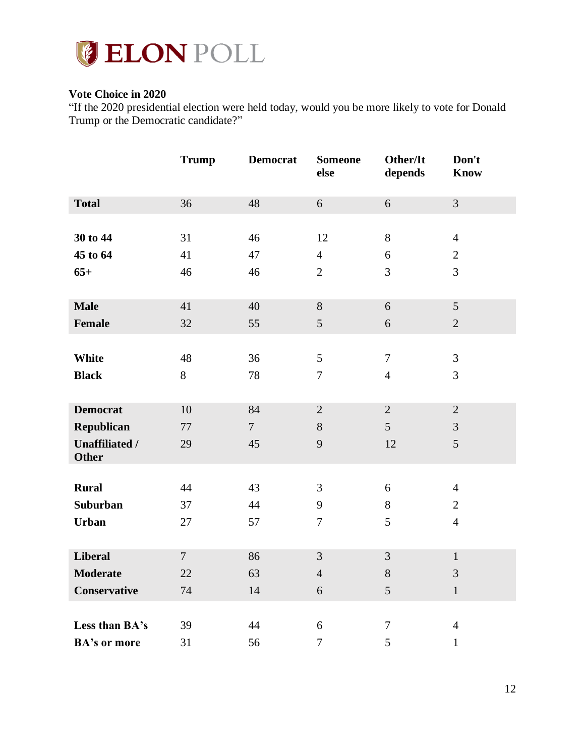

### <span id="page-12-0"></span>**Vote Choice in 2020**

"If the 2020 presidential election were held today, would you be more likely to vote for Donald Trump or the Democratic candidate?"

|                       | <b>Trump</b>   | <b>Democrat</b> | <b>Someone</b><br>else | Other/It<br>depends | Don't<br><b>Know</b> |
|-----------------------|----------------|-----------------|------------------------|---------------------|----------------------|
| <b>Total</b>          | 36             | 48              | 6                      | 6                   | $\overline{3}$       |
|                       |                |                 |                        |                     |                      |
| 30 to 44              | 31             | 46              | 12                     | $8\,$               | $\overline{4}$       |
| 45 to 64              | 41             | 47              | $\overline{4}$         | 6                   | $\overline{2}$       |
| $65+$                 | 46             | 46              | $\overline{2}$         | 3                   | $\overline{3}$       |
|                       |                |                 |                        |                     |                      |
| <b>Male</b>           | 41             | 40              | 8                      | 6                   | 5                    |
| Female                | 32             | 55              | $5\overline{)}$        | 6                   | $\overline{2}$       |
|                       |                |                 |                        |                     |                      |
| White                 | 48             | 36              | 5                      | $\tau$              | $\overline{3}$       |
| <b>Black</b>          | 8              | 78              | $\tau$                 | $\overline{4}$      | 3                    |
|                       |                |                 |                        |                     |                      |
| <b>Democrat</b>       | 10             | 84              | $\overline{2}$         | $\overline{2}$      | $\overline{2}$       |
| Republican            | 77             | $\overline{7}$  | 8                      | 5                   | $\overline{3}$       |
| <b>Unaffiliated /</b> | 29             | 45              | 9                      | 12                  | 5                    |
| <b>Other</b>          |                |                 |                        |                     |                      |
| <b>Rural</b>          | 44             | 43              | 3                      | $6\,$               | $\overline{4}$       |
| <b>Suburban</b>       | 37             | 44              | 9                      | 8                   | $\overline{2}$       |
| <b>Urban</b>          | 27             | 57              | $\tau$                 | 5                   | $\overline{4}$       |
|                       |                |                 |                        |                     |                      |
| <b>Liberal</b>        | $\overline{7}$ | 86              | $\overline{3}$         | $\overline{3}$      | $\mathbf{1}$         |
| <b>Moderate</b>       | 22             | 63              | $\overline{4}$         | $8\,$               | 3                    |
|                       | 74             | 14              |                        | 5                   | $\mathbf{1}$         |
| Conservative          |                |                 | 6                      |                     |                      |
| Less than BA's        | 39             | 44              | 6                      | $\tau$              | $\overline{4}$       |
|                       |                |                 |                        |                     |                      |
| <b>BA's or more</b>   | 31             | 56              | $\boldsymbol{7}$       | 5                   | $\mathbf{1}$         |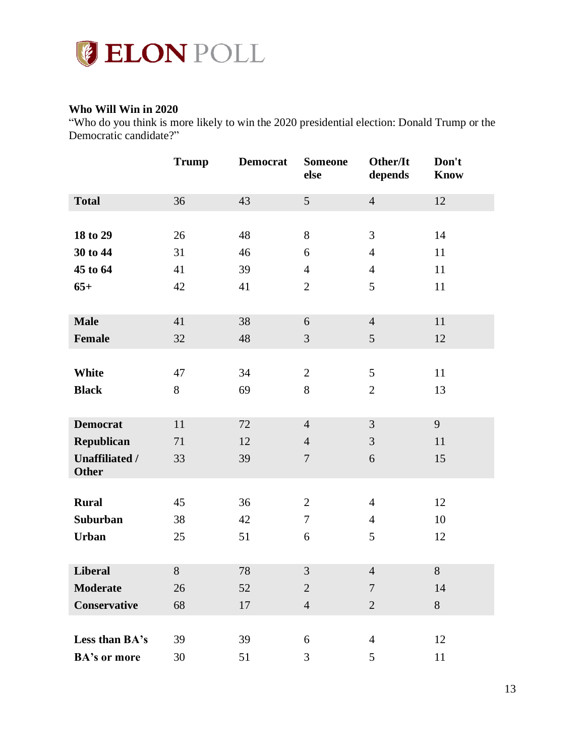

### <span id="page-13-0"></span>**Who Will Win in 2020**

"Who do you think is more likely to win the 2020 presidential election: Donald Trump or the Democratic candidate?"

|                       | <b>Trump</b> | <b>Democrat</b> | <b>Someone</b><br>else | Other/It<br>depends | Don't<br><b>Know</b> |
|-----------------------|--------------|-----------------|------------------------|---------------------|----------------------|
| <b>Total</b>          | 36           | 43              | $5\overline{)}$        | $\overline{4}$      | 12                   |
|                       |              |                 |                        |                     |                      |
| 18 to 29              | 26           | 48              | 8                      | 3                   | 14                   |
| 30 to 44              | 31           | 46              | 6                      | $\overline{4}$      | 11                   |
| 45 to 64              | 41           | 39              | $\overline{4}$         | $\overline{4}$      | 11                   |
| $65+$                 | 42           | 41              | $\overline{2}$         | 5                   | 11                   |
|                       |              |                 |                        |                     |                      |
| <b>Male</b>           | 41           | 38              | 6                      | $\overline{4}$      | 11                   |
| <b>Female</b>         | 32           | 48              | 3                      | $\mathfrak{S}$      | 12                   |
|                       |              |                 |                        |                     |                      |
| White                 | 47           | 34              | $\overline{2}$         | $\mathfrak{S}$      | 11                   |
| <b>Black</b>          | $8\,$        | 69              | 8                      | $\overline{2}$      | 13                   |
|                       |              |                 |                        |                     |                      |
| <b>Democrat</b>       | 11           | 72              | $\overline{4}$         | $\mathfrak{Z}$      | 9                    |
| Republican            | 71           | 12              | $\overline{4}$         | 3                   | 11                   |
| <b>Unaffiliated /</b> | 33           | 39              | $\overline{7}$         | 6                   | 15                   |
| <b>Other</b>          |              |                 |                        |                     |                      |
| <b>Rural</b>          | 45           | 36              | $\overline{2}$         | $\overline{4}$      | 12                   |
| Suburban              | 38           | 42              | $\overline{7}$         | $\overline{4}$      | 10                   |
| <b>Urban</b>          | 25           | 51              | 6                      | 5                   | 12                   |
|                       |              |                 |                        |                     |                      |
| <b>Liberal</b>        | 8            | 78              | 3                      | $\overline{4}$      | 8                    |
| Moderate              | 26           | 52              | $\overline{2}$         | $\overline{7}$      | 14                   |
| Conservative          | 68           | 17              | $\overline{4}$         | $\overline{2}$      | 8                    |
|                       |              |                 |                        |                     |                      |
| Less than BA's        | 39           | 39              | 6                      | $\overline{4}$      | 12                   |
| <b>BA's or more</b>   | 30           | 51              | 3                      | 5                   | 11                   |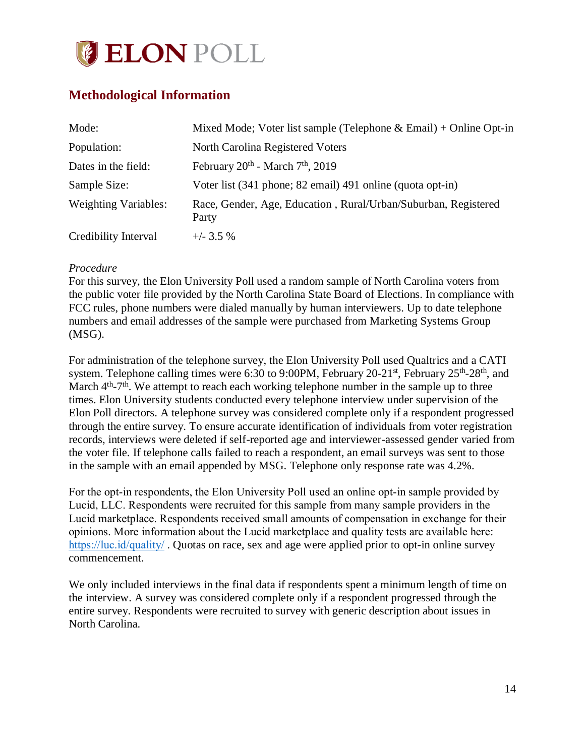

## <span id="page-14-0"></span>**Methodological Information**

| Mode:                       | Mixed Mode; Voter list sample (Telephone & Email) + Online Opt-in       |
|-----------------------------|-------------------------------------------------------------------------|
| Population:                 | North Carolina Registered Voters                                        |
| Dates in the field:         | February $20^{\text{th}}$ - March $7^{\text{th}}$ , $2019$              |
| Sample Size:                | Voter list (341 phone; 82 email) 491 online (quota opt-in)              |
| <b>Weighting Variables:</b> | Race, Gender, Age, Education, Rural/Urban/Suburban, Registered<br>Party |
| Credibility Interval        | $+/-$ 3.5 %                                                             |

### *Procedure*

For this survey, the Elon University Poll used a random sample of North Carolina voters from the public voter file provided by the North Carolina State Board of Elections. In compliance with FCC rules, phone numbers were dialed manually by human interviewers. Up to date telephone numbers and email addresses of the sample were purchased from Marketing Systems Group (MSG).

For administration of the telephone survey, the Elon University Poll used Qualtrics and a CATI system. Telephone calling times were 6:30 to 9:00PM, February 20-21<sup>st</sup>, February 25<sup>th</sup>-28<sup>th</sup>, and March 4<sup>th</sup>-7<sup>th</sup>. We attempt to reach each working telephone number in the sample up to three times. Elon University students conducted every telephone interview under supervision of the Elon Poll directors. A telephone survey was considered complete only if a respondent progressed through the entire survey. To ensure accurate identification of individuals from voter registration records, interviews were deleted if self-reported age and interviewer-assessed gender varied from the voter file. If telephone calls failed to reach a respondent, an email surveys was sent to those in the sample with an email appended by MSG. Telephone only response rate was 4.2%.

For the opt-in respondents, the Elon University Poll used an online opt-in sample provided by Lucid, LLC. Respondents were recruited for this sample from many sample providers in the Lucid marketplace. Respondents received small amounts of compensation in exchange for their opinions. More information about the Lucid marketplace and quality tests are available here: <https://luc.id/quality/> . Quotas on race, sex and age were applied prior to opt-in online survey commencement.

We only included interviews in the final data if respondents spent a minimum length of time on the interview. A survey was considered complete only if a respondent progressed through the entire survey. Respondents were recruited to survey with generic description about issues in North Carolina.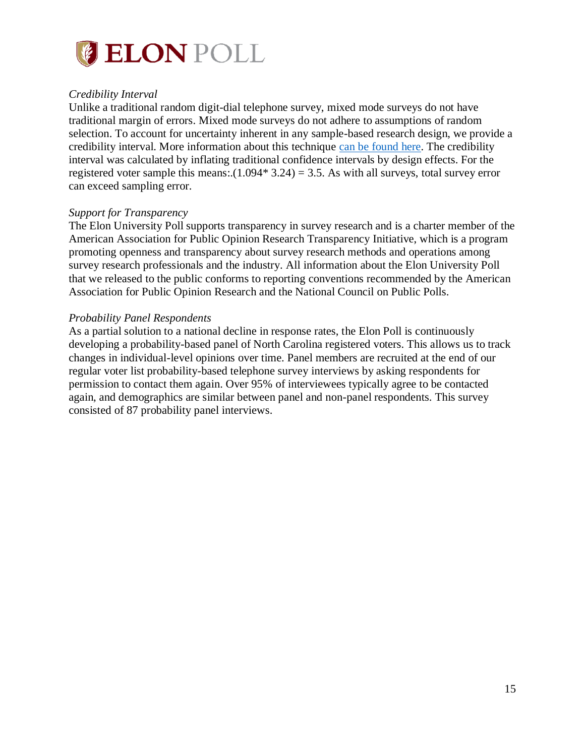

### *Credibility Interval*

Unlike a traditional random digit-dial telephone survey, mixed mode surveys do not have traditional margin of errors. Mixed mode surveys do not adhere to assumptions of random selection. To account for uncertainty inherent in any sample-based research design, we provide a credibility interval. More information about this technique [can be found here.](https://www.aapor.org/Education-Resources/Election-Polling-Resources/Margin-of-Sampling-Error-Credibility-Interval.aspx) The credibility interval was calculated by inflating traditional confidence intervals by design effects. For the registered voter sample this means:. $(1.094*3.24) = 3.5$ . As with all surveys, total survey error can exceed sampling error.

### *Support for Transparency*

The Elon University Poll supports transparency in survey research and is a charter member of the American Association for Public Opinion Research Transparency Initiative, which is a program promoting openness and transparency about survey research methods and operations among survey research professionals and the industry. All information about the Elon University Poll that we released to the public conforms to reporting conventions recommended by the American Association for Public Opinion Research and the National Council on Public Polls.

### *Probability Panel Respondents*

As a partial solution to a national decline in response rates, the Elon Poll is continuously developing a probability-based panel of North Carolina registered voters. This allows us to track changes in individual-level opinions over time. Panel members are recruited at the end of our regular voter list probability-based telephone survey interviews by asking respondents for permission to contact them again. Over 95% of interviewees typically agree to be contacted again, and demographics are similar between panel and non-panel respondents. This survey consisted of 87 probability panel interviews.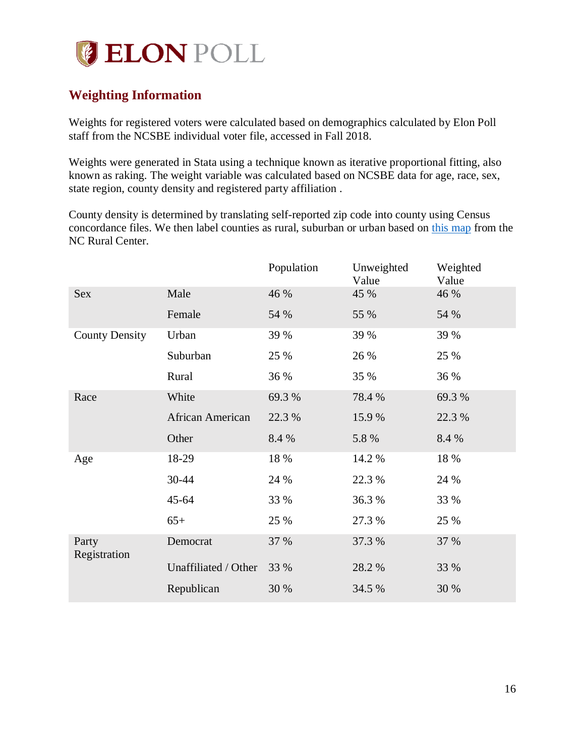

## <span id="page-16-0"></span>**Weighting Information**

Weights for registered voters were calculated based on demographics calculated by Elon Poll staff from the NCSBE individual voter file, accessed in Fall 2018.

Weights were generated in Stata using a technique known as iterative proportional fitting, also known as raking. The weight variable was calculated based on NCSBE data for age, race, sex, state region, county density and registered party affiliation .

County density is determined by translating self-reported zip code into county using Census concordance files. We then label counties as rural, suburban or urban based on [this map](https://www.ncruralcenter.org/wp-content/uploads/2018/01/Rural-Map-2018-1.png) from the NC Rural Center.

|                       |                      | Population | Unweighted<br>Value | Weighted<br>Value |
|-----------------------|----------------------|------------|---------------------|-------------------|
| <b>Sex</b>            | Male                 | 46 %       | 45 %                | 46 %              |
|                       | Female               | 54 %       | 55 %                | 54 %              |
| <b>County Density</b> | Urban                | 39 %       | 39 %                | 39 %              |
|                       | Suburban             | 25 %       | 26 %                | 25 %              |
|                       | Rural                | 36 %       | 35 %                | 36 %              |
| Race                  | White                | 69.3 %     | 78.4 %              | 69.3 %            |
|                       | African American     | 22.3 %     | 15.9%               | 22.3 %            |
|                       | Other                | 8.4 %      | 5.8 %               | 8.4 %             |
| Age                   | 18-29                | 18 %       | 14.2 %              | 18 %              |
|                       | 30-44                | 24 %       | 22.3 %              | 24 %              |
|                       | $45 - 64$            | 33 %       | 36.3%               | 33 %              |
|                       | $65+$                | 25 %       | 27.3 %              | 25 %              |
| Party<br>Registration | Democrat             | 37 %       | 37.3 %              | 37 %              |
|                       | Unaffiliated / Other | 33 %       | 28.2 %              | 33 %              |
|                       | Republican           | 30 %       | 34.5 %              | 30 %              |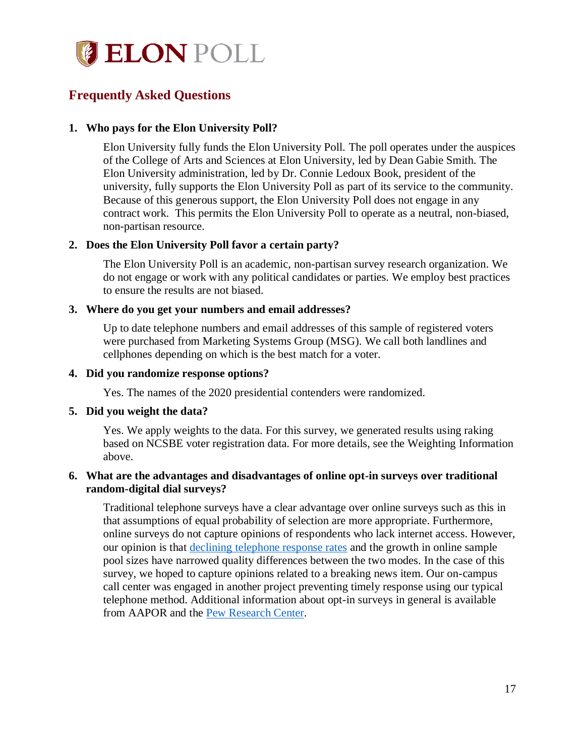

## <span id="page-17-0"></span>**Frequently Asked Questions**

### **1. Who pays for the Elon University Poll?**

Elon University fully funds the Elon University Poll. The poll operates under the auspices of the College of Arts and Sciences at Elon University, led by Dean Gabie Smith. The Elon University administration, led by Dr. Connie Ledoux Book, president of the university, fully supports the Elon University Poll as part of its service to the community. Because of this generous support, the Elon University Poll does not engage in any contract work. This permits the Elon University Poll to operate as a neutral, non-biased, non-partisan resource.

### **2. Does the Elon University Poll favor a certain party?**

The Elon University Poll is an academic, non-partisan survey research organization. We do not engage or work with any political candidates or parties. We employ best practices to ensure the results are not biased.

#### **3. Where do you get your numbers and email addresses?**

Up to date telephone numbers and email addresses of this sample of registered voters were purchased from Marketing Systems Group (MSG). We call both landlines and cellphones depending on which is the best match for a voter.

#### **4. Did you randomize response options?**

Yes. The names of the 2020 presidential contenders were randomized.

#### **5. Did you weight the data?**

Yes. We apply weights to the data. For this survey, we generated results using raking based on NCSBE voter registration data. For more details, see the Weighting Information above.

### **6. What are the advantages and disadvantages of online opt-in surveys over traditional random-digital dial surveys?**

Traditional telephone surveys have a clear advantage over online surveys such as this in that assumptions of equal probability of selection are more appropriate. Furthermore, online surveys do not capture opinions of respondents who lack internet access. However, our opinion is that [declining telephone response rates](http://www.pewresearch.org/fact-tank/2019/02/27/response-rates-in-telephone-surveys-have-resumed-their-decline/) and the growth in online sample pool sizes have narrowed quality differences between the two modes. In the case of this survey, we hoped to capture opinions related to a breaking news item. Our on-campus call center was engaged in another project preventing timely response using our typical telephone method. Additional information about opt-in surveys in general is available from AAPOR and the [Pew Research Center.](http://www.pewresearch.org/fact-tank/2018/08/06/what-are-nonprobability-surveys/)